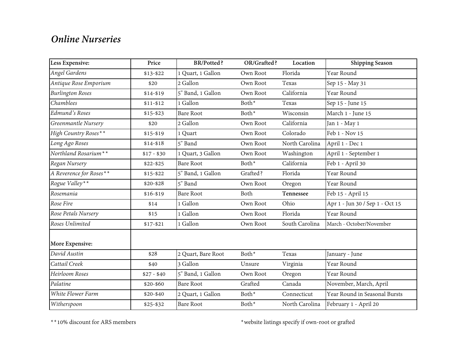## *Online Nurseries*

| Less Expensive:         | Price       | <b>BR/Potted?</b>  | OR/Grafted?       | Location       | <b>Shipping Season</b>          |
|-------------------------|-------------|--------------------|-------------------|----------------|---------------------------------|
| Angel Gardens           | $$13 - $22$ | 1 Quart, 1 Gallon  | Own Root          | Florida        | Year Round                      |
| Antique Rose Emporium   | \$20        | 2 Gallon           | Own Root          | Texas          | Sep 15 - May 31                 |
| <b>Burlington Roses</b> | $$14 - $19$ | 5" Band, 1 Gallon  | Own Root          | California     | Year Round                      |
| Chamblees               | $$11 - $12$ | 1 Gallon           | Both*             | Texas          | Sep 15 - June 15                |
| Edmund's Roses          | $$15 - $23$ | <b>Bare Root</b>   | Both <sup>*</sup> | Wisconsin      | March 1 - June 15               |
| Greenmantle Nursery     | \$20        | 2 Gallon           | Own Root          | California     | Jan 1 - May 1                   |
| High Country Roses**    | $$15-$19$   | 1 Quart            | Own Root          | Colorado       | Feb 1 - Nov 15                  |
| Long Ago Roses          | $$14 - $18$ | 5" Band            | Own Root          | North Carolina | April 1 - Dec 1                 |
| Northland Rosarium**    | $$17 - $30$ | 1 Quart, 3 Gallon  | Own Root          | Washington     | April 1 - September 1           |
| Regan Nursery           | $$22 - $25$ | <b>Bare Root</b>   | Both <sup>*</sup> | California     | Feb 1 - April 30                |
| A Reverence for Roses** | $$15 - $22$ | 5" Band, 1 Gallon  | Grafted?          | Florida        | Year Round                      |
| Rogue Valley**          | $$20 - $28$ | 5" Band            | Own Root          | Oregon         | Year Round                      |
| Rosemania               | $$16 - $19$ | <b>Bare Root</b>   | Both              | Tennessee      | Feb 15 - April 15               |
| Rose Fire               | \$14        | 1 Gallon           | Own Root          | Ohio           | Apr 1 - Jun 30 / Sep 1 - Oct 15 |
| Rose Petals Nursery     | \$15        | 1 Gallon           | Own Root          | Florida        | Year Round                      |
| Roses Unlimited         | $$17 - $21$ | 1 Gallon           | Own Root          | South Carolina | March - October/November        |
| More Expensive:         |             |                    |                   |                |                                 |
| David Austin            | \$28        | 2 Quart, Bare Root | Both <sup>*</sup> | Texas          | January - June                  |
| Cattail Creek           | \$40        | 3 Gallon           | Unsure            | Virginia       | Year Round                      |
| Heirloom Roses          | $$27 - $40$ | 5" Band, 1 Gallon  | Own Root          | Oregon         | Year Round                      |
| Palatine                | $$20 - $60$ | <b>Bare Root</b>   | Grafted           | Canada         | November, March, April          |
| White Flower Farm       | $$20 - $40$ | 2 Quart, 1 Gallon  | Both <sup>*</sup> | Connecticut    | Year Round in Seasonal Bursts   |
| Witherspoon             | $$25 - $32$ | <b>Bare Root</b>   | Both <sup>*</sup> | North Carolina | February 1 - April 20           |

 $\rm ^{\ast\ast10\%}$  discount for ARS members  $\rm ^{\ast\ast10\%}$  website listings specify if own-root or grafted